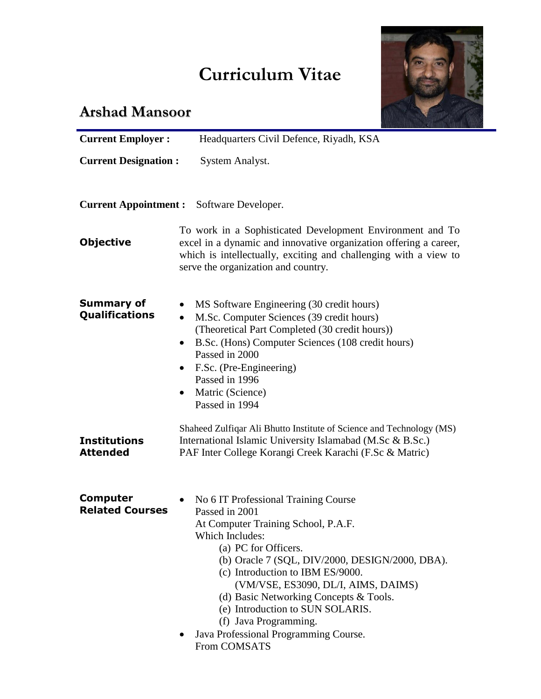## **Curriculum Vitae**



## **Arshad Mansoor**

| <b>Current Employer:</b>                  | Headquarters Civil Defence, Riyadh, KSA                                                                                                                                                                                                                                                                                                                                                                                                |
|-------------------------------------------|----------------------------------------------------------------------------------------------------------------------------------------------------------------------------------------------------------------------------------------------------------------------------------------------------------------------------------------------------------------------------------------------------------------------------------------|
| <b>Current Designation:</b>               | System Analyst.                                                                                                                                                                                                                                                                                                                                                                                                                        |
| <b>Current Appointment :</b>              | Software Developer.                                                                                                                                                                                                                                                                                                                                                                                                                    |
| <b>Objective</b>                          | To work in a Sophisticated Development Environment and To<br>excel in a dynamic and innovative organization offering a career,<br>which is intellectually, exciting and challenging with a view to<br>serve the organization and country.                                                                                                                                                                                              |
| <b>Summary of</b><br>Qualifications       | MS Software Engineering (30 credit hours)<br>$\bullet$<br>M.Sc. Computer Sciences (39 credit hours)<br>$\bullet$<br>(Theoretical Part Completed (30 credit hours))<br>B.Sc. (Hons) Computer Sciences (108 credit hours)<br>$\bullet$<br>Passed in 2000<br>F.Sc. (Pre-Engineering)<br>Passed in 1996<br>Matric (Science)<br>٠<br>Passed in 1994                                                                                         |
| <b>Institutions</b><br><b>Attended</b>    | Shaheed Zulfiqar Ali Bhutto Institute of Science and Technology (MS)<br>International Islamic University Islamabad (M.Sc & B.Sc.)<br>PAF Inter College Korangi Creek Karachi (F.Sc & Matric)                                                                                                                                                                                                                                           |
| <b>Computer</b><br><b>Related Courses</b> | No 6 IT Professional Training Course<br>Passed in 2001<br>At Computer Training School, P.A.F.<br>Which Includes:<br>(a) PC for Officers.<br>(b) Oracle 7 (SQL, DIV/2000, DESIGN/2000, DBA).<br>(c) Introduction to IBM ES/9000.<br>(VM/VSE, ES3090, DL/I, AIMS, DAIMS)<br>(d) Basic Networking Concepts & Tools.<br>(e) Introduction to SUN SOLARIS.<br>(f) Java Programming.<br>Java Professional Programming Course.<br>From COMSATS |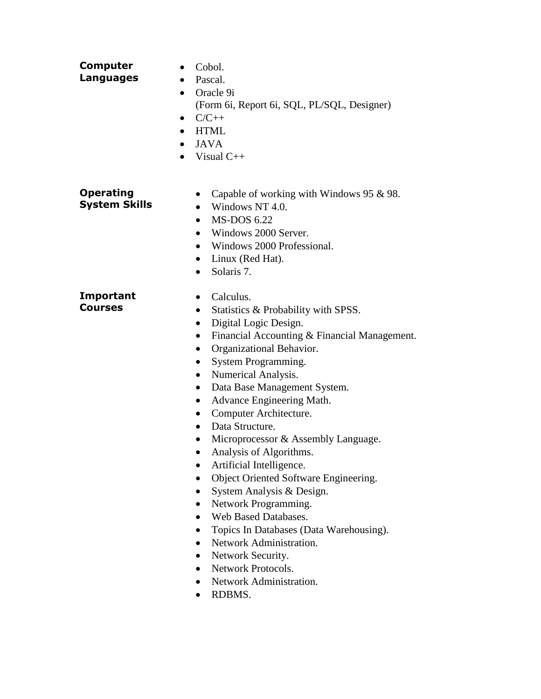| <b>Computer</b><br>Languages             | Cobol.<br>$\bullet$<br>Pascal.<br>$\bullet$<br>Oracle 9i<br>$\bullet$<br>(Form 6i, Report 6i, SQL, PL/SQL, Designer)<br>$C/C++$<br>٠<br><b>HTML</b><br><b>JAVA</b><br>Visual $C++$                                                                                                                                                                                                                                                                                                                                                                                                                                                                                                                                                                                                                                                     |
|------------------------------------------|----------------------------------------------------------------------------------------------------------------------------------------------------------------------------------------------------------------------------------------------------------------------------------------------------------------------------------------------------------------------------------------------------------------------------------------------------------------------------------------------------------------------------------------------------------------------------------------------------------------------------------------------------------------------------------------------------------------------------------------------------------------------------------------------------------------------------------------|
| <b>Operating</b><br><b>System Skills</b> | Capable of working with Windows 95 $\&$ 98.<br>Windows NT 4.0.<br>$\bullet$<br><b>MS-DOS 6.22</b><br>$\bullet$<br>Windows 2000 Server.<br>$\bullet$<br>Windows 2000 Professional.<br>$\bullet$<br>Linux (Red Hat).<br>Solaris 7.                                                                                                                                                                                                                                                                                                                                                                                                                                                                                                                                                                                                       |
| Important<br><b>Courses</b>              | Calculus.<br>$\bullet$<br>Statistics & Probability with SPSS.<br>$\bullet$<br>Digital Logic Design.<br>$\bullet$<br>Financial Accounting & Financial Management.<br>$\bullet$<br>Organizational Behavior.<br>System Programming.<br>Numerical Analysis.<br>Data Base Management System.<br>Advance Engineering Math.<br>$\bullet$<br>Computer Architecture.<br>$\bullet$<br>Data Structure.<br>$\bullet$<br>Microprocessor & Assembly Language.<br>Analysis of Algorithms.<br>$\bullet$<br>Artificial Intelligence.<br>Object Oriented Software Engineering.<br>System Analysis & Design.<br>Network Programming.<br>Web Based Databases.<br>Topics In Databases (Data Warehousing).<br>$\bullet$<br>Network Administration.<br>$\bullet$<br>Network Security.<br>$\bullet$<br>Network Protocols.<br>Network Administration.<br>RDBMS. |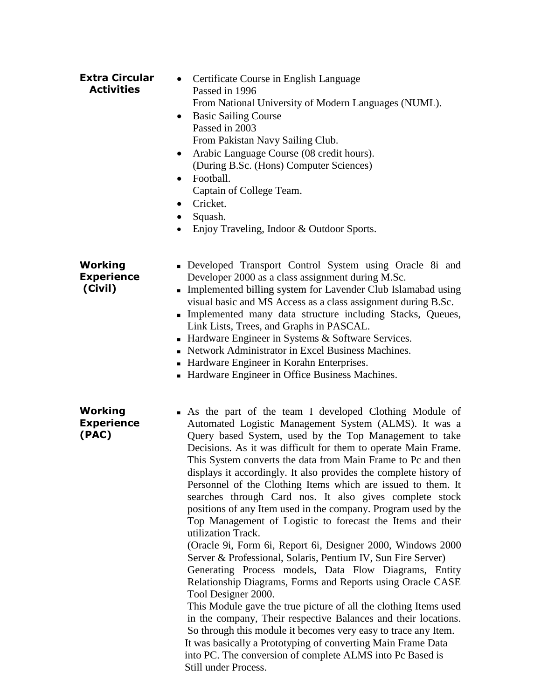| <b>Extra Circular</b><br><b>Activities</b>   | Certificate Course in English Language<br>Passed in 1996<br>From National University of Modern Languages (NUML).<br><b>Basic Sailing Course</b><br>$\bullet$<br>Passed in 2003<br>From Pakistan Navy Sailing Club.<br>Arabic Language Course (08 credit hours).<br>$\bullet$<br>(During B.Sc. (Hons) Computer Sciences)<br>Football.<br>$\bullet$<br>Captain of College Team.<br>Cricket.<br>$\bullet$<br>Squash.<br>Enjoy Traveling, Indoor & Outdoor Sports.                                                                                                                                                                                                                                                                                                                                                                                                                                                                                                                                                                                                                                                                                                                                                                                                                                                |
|----------------------------------------------|---------------------------------------------------------------------------------------------------------------------------------------------------------------------------------------------------------------------------------------------------------------------------------------------------------------------------------------------------------------------------------------------------------------------------------------------------------------------------------------------------------------------------------------------------------------------------------------------------------------------------------------------------------------------------------------------------------------------------------------------------------------------------------------------------------------------------------------------------------------------------------------------------------------------------------------------------------------------------------------------------------------------------------------------------------------------------------------------------------------------------------------------------------------------------------------------------------------------------------------------------------------------------------------------------------------|
| Working<br><b>Experience</b><br>(Civil)      | Developed Transport Control System using Oracle 8i and<br>Developer 2000 as a class assignment during M.Sc.<br>• Implemented billing system for Lavender Club Islamabad using<br>visual basic and MS Access as a class assignment during B.Sc.<br>Implemented many data structure including Stacks, Queues,<br>Link Lists, Trees, and Graphs in PASCAL.<br>- Hardware Engineer in Systems $&$ Software Services.<br>• Network Administrator in Excel Business Machines.<br>• Hardware Engineer in Korahn Enterprises.<br>• Hardware Engineer in Office Business Machines.                                                                                                                                                                                                                                                                                                                                                                                                                                                                                                                                                                                                                                                                                                                                     |
| <b>Working</b><br><b>Experience</b><br>(PAC) | • As the part of the team I developed Clothing Module of<br>Automated Logistic Management System (ALMS). It was a<br>Query based System, used by the Top Management to take<br>Decisions. As it was difficult for them to operate Main Frame.<br>This System converts the data from Main Frame to Pc and then<br>displays it accordingly. It also provides the complete history of<br>Personnel of the Clothing Items which are issued to them. It<br>searches through Card nos. It also gives complete stock<br>positions of any Item used in the company. Program used by the<br>Top Management of Logistic to forecast the Items and their<br>utilization Track.<br>(Oracle 9i, Form 6i, Report 6i, Designer 2000, Windows 2000<br>Server & Professional, Solaris, Pentium IV, Sun Fire Server)<br>Generating Process models, Data Flow Diagrams, Entity<br>Relationship Diagrams, Forms and Reports using Oracle CASE<br>Tool Designer 2000.<br>This Module gave the true picture of all the clothing Items used<br>in the company, Their respective Balances and their locations.<br>So through this module it becomes very easy to trace any Item.<br>It was basically a Prototyping of converting Main Frame Data<br>into PC. The conversion of complete ALMS into Pc Based is<br>Still under Process. |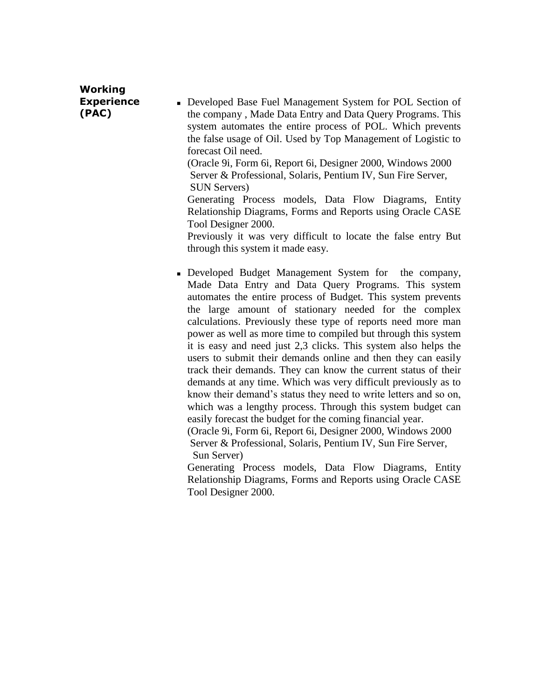## **Working Experience (PAC)**

 Developed Base Fuel Management System for POL Section of the company , Made Data Entry and Data Query Programs. This system automates the entire process of POL. Which prevents the false usage of Oil. Used by Top Management of Logistic to forecast Oil need.

 (Oracle 9i, Form 6i, Report 6i, Designer 2000, Windows 2000 Server & Professional, Solaris, Pentium IV, Sun Fire Server, SUN Servers)

Generating Process models, Data Flow Diagrams, Entity Relationship Diagrams, Forms and Reports using Oracle CASE Tool Designer 2000.

Previously it was very difficult to locate the false entry But through this system it made easy.

 Developed Budget Management System for the company, Made Data Entry and Data Query Programs. This system automates the entire process of Budget. This system prevents the large amount of stationary needed for the complex calculations. Previously these type of reports need more man power as well as more time to compiled but through this system it is easy and need just 2,3 clicks. This system also helps the users to submit their demands online and then they can easily track their demands. They can know the current status of their demands at any time. Which was very difficult previously as to know their demand's status they need to write letters and so on, which was a lengthy process. Through this system budget can easily forecast the budget for the coming financial year.

 (Oracle 9i, Form 6i, Report 6i, Designer 2000, Windows 2000 Server & Professional, Solaris, Pentium IV, Sun Fire Server, Sun Server)

Generating Process models, Data Flow Diagrams, Entity Relationship Diagrams, Forms and Reports using Oracle CASE Tool Designer 2000.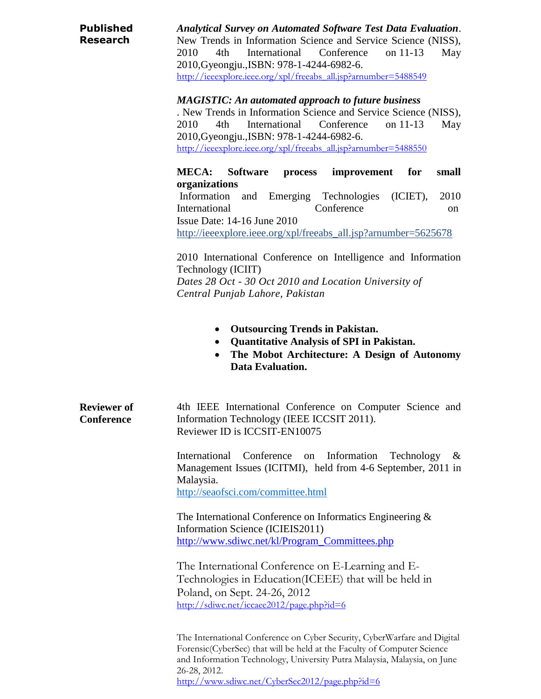| <b>Published</b><br><b>Research</b>     | <b>Analytical Survey on Automated Software Test Data Evaluation.</b><br>New Trends in Information Science and Service Science (NISS),<br>International<br>Conference<br>2010<br>4th<br>on 11-13<br>May<br>2010, Gyeongju., ISBN: 978-1-4244-6982-6.<br>http://ieeexplore.ieee.org/xpl/freeabs_all.jsp?arnumber=5488549 |
|-----------------------------------------|------------------------------------------------------------------------------------------------------------------------------------------------------------------------------------------------------------------------------------------------------------------------------------------------------------------------|
|                                         | <b>MAGISTIC: An automated approach to future business</b><br>. New Trends in Information Science and Service Science (NISS),<br>4th<br>International<br>Conference<br>on 11-13<br>2010<br>May<br>2010, Gyeongju., ISBN: 978-1-4244-6982-6.<br>http://ieeexplore.ieee.org/xpl/freeabs_all.jsp?arnumber=5488550          |
|                                         | <b>MECA:</b><br><b>Software</b><br>for<br>small<br>process<br>improvement                                                                                                                                                                                                                                              |
|                                         | organizations<br>Information<br>Emerging Technologies<br>2010<br>and<br>$(ICIET)$ ,<br>International<br>Conference<br>on.<br>Issue Date: $14-16$ June $2010$<br>http://ieeexplore.ieee.org/xpl/freeabs_all.jsp?arnumber=5625678                                                                                        |
|                                         | 2010 International Conference on Intelligence and Information<br>Technology (ICIIT)<br>Dates 28 Oct - 30 Oct 2010 and Location University of<br>Central Punjab Lahore, Pakistan                                                                                                                                        |
|                                         | <b>Outsourcing Trends in Pakistan.</b><br><b>Quantitative Analysis of SPI in Pakistan.</b><br>$\bullet$<br>The Mobot Architecture: A Design of Autonomy<br>Data Evaluation.                                                                                                                                            |
| <b>Reviewer</b> of<br><b>Conference</b> | 4th IEEE International Conference on Computer Science and<br>Information Technology (IEEE ICCSIT 2011).<br>Reviewer ID is ICCSIT-EN10075                                                                                                                                                                               |
|                                         | Conference<br>International<br>Information<br>Technology<br>$\&$<br>on<br>Management Issues (ICITMI), held from 4-6 September, 2011 in<br>Malaysia.<br>http://seaofsci.com/committee.html                                                                                                                              |
|                                         | The International Conference on Informatics Engineering $\&$<br>Information Science (ICIEIS2011)<br>http://www.sdiwc.net/kl/Program_Committees.php                                                                                                                                                                     |
|                                         | The International Conference on E-Learning and E-<br>Technologies in Education(ICEEE) that will be held in<br>Poland, on Sept. 24-26, 2012<br>http://sdiwc.net/iccaee2012/page.php?id=6                                                                                                                                |
|                                         | The International Conference on Cyber Security, CyberWarfare and Digital<br>Forensic(CyberSec) that will be held at the Faculty of Computer Science<br>and Information Technology, University Putra Malaysia, Malaysia, on June<br>26-28, 2012.                                                                        |

<http://www.sdiwc.net/CyberSec2012/page.php?id=6>